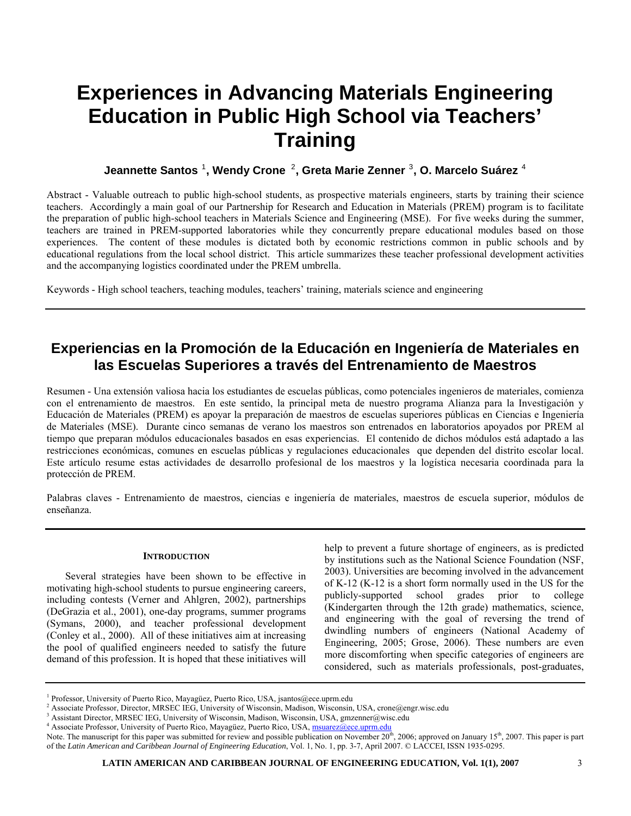# **Experiences in Advancing Materials Engineering Education in Public High School via Teachers' Training**

### **Jeannette Santos** [1](#page-0-0) **, Wendy Crone** [2](#page-0-1) **, Greta Marie Zenner** [3](#page-0-2) **, O. Marcelo Suárez** [4](#page-0-3)

Abstract - Valuable outreach to public high-school students, as prospective materials engineers, starts by training their science teachers. Accordingly a main goal of our Partnership for Research and Education in Materials (PREM) program is to facilitate the preparation of public high-school teachers in Materials Science and Engineering (MSE). For five weeks during the summer, teachers are trained in PREM-supported laboratories while they concurrently prepare educational modules based on those experiences. The content of these modules is dictated both by economic restrictions common in public schools and by educational regulations from the local school district. This article summarizes these teacher professional development activities and the accompanying logistics coordinated under the PREM umbrella.

Keywords - High school teachers, teaching modules, teachers' training, materials science and engineering

## **Experiencias en la Promoción de la Educación en Ingeniería de Materiales en las Escuelas Superiores a través del Entrenamiento de Maestros**

Resumen - Una extensión valiosa hacia los estudiantes de escuelas públicas, como potenciales ingenieros de materiales, comienza con el entrenamiento de maestros. En este sentido, la principal meta de nuestro programa Alianza para la Investigación y Educación de Materiales (PREM) es apoyar la preparación de maestros de escuelas superiores públicas en Ciencias e Ingeniería de Materiales (MSE). Durante cinco semanas de verano los maestros son entrenados en laboratorios apoyados por PREM al tiempo que preparan módulos educacionales basados en esas experiencias. El contenido de dichos módulos está adaptado a las restricciones económicas, comunes en escuelas públicas y regulaciones educacionales que dependen del distrito escolar local. Este artículo resume estas actividades de desarrollo profesional de los maestros y la logística necesaria coordinada para la protección de PREM.

Palabras claves - Entrenamiento de maestros, ciencias e ingeniería de materiales, maestros de escuela superior, módulos de enseñanza.

#### **INTRODUCTION**

Several strategies have been shown to be effective in motivating high-school students to pursue engineering careers, including contests (Verner and Ahlgren, 2002), partnerships (DeGrazia et al., 2001), one-day programs, summer programs (Symans, 2000), and teacher professional development (Conley et al., 2000). All of these initiatives aim at increasing the pool of qualified engineers needed to satisfy the future demand of this profession. It is hoped that these initiatives will

help to prevent a future shortage of engineers, as is predicted by institutions such as the National Science Foundation (NSF, 2003). Universities are becoming involved in the advancement of K-12 (K-12 is a short form normally used in the US for the publicly-supported school grades prior to college (Kindergarten through the 12th grade) mathematics, science, and engineering with the goal of reversing the trend of dwindling numbers of engineers (National Academy of Engineering, 2005; Grose, 2006). These numbers are even more discomforting when specific categories of engineers are considered, such as materials professionals, post-graduates,

<span id="page-0-0"></span><sup>&</sup>lt;sup>1</sup> Professor, University of Puerto Rico, Mayagüez, Puerto Rico, USA, jsantos@ece.uprm.edu

<span id="page-0-1"></span>Associate Professor, Director, MRSEC IEG, University of Wisconsin, Madison, Wisconsin, USA, crone@engr.wisc.edu

<span id="page-0-2"></span><sup>&</sup>lt;sup>3</sup> Assistant Director, MRSEC IEG, University of Wisconsin, Madison, Wisconsin, USA, gmzenner@wisc.edu<br><sup>4</sup> Associate Professor, University of Puerte Rice, Mayogiez, Puerte Rice, USA, mayogra@ees.urrm.edu

<span id="page-0-3"></span><sup>&</sup>lt;sup>4</sup> Associate Professor, University of Puerto Rico, Mayagüez, Puerto Rico, USA, [msuarez@ece.uprm.edu](mailto:msuarez@ece.uprm.edu)

Note. The manuscript for this paper was submitted for review and possible publication on November  $20^{th}$ ,  $2006$ ; approved on January  $15^{th}$ ,  $2007$ . This paper is part of the *Latin American and Caribbean Journal of Engineering Education*, Vol. 1, No. 1, pp. 3-7, April 2007. © LACCEI, ISSN 1935-0295.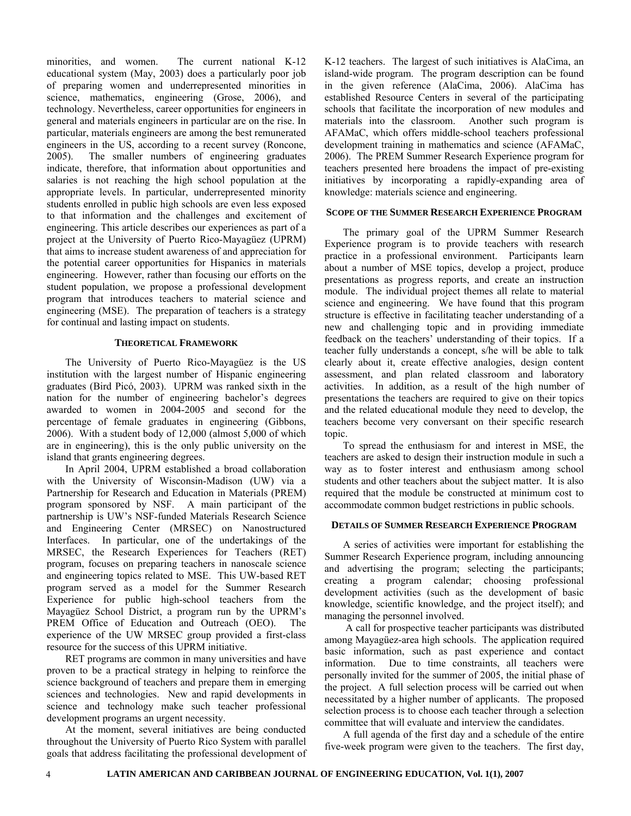minorities, and women. The current national K-12 educational system (May, 2003) does a particularly poor job of preparing women and underrepresented minorities in science, mathematics, engineering (Grose, 2006), and technology. Nevertheless, career opportunities for engineers in general and materials engineers in particular are on the rise. In particular, materials engineers are among the best remunerated engineers in the US, according to a recent survey (Roncone, 2005). The smaller numbers of engineering graduates indicate, therefore, that information about opportunities and salaries is not reaching the high school population at the appropriate levels. In particular, underrepresented minority students enrolled in public high schools are even less exposed to that information and the challenges and excitement of engineering. This article describes our experiences as part of a project at the University of Puerto Rico-Mayagüez (UPRM) that aims to increase student awareness of and appreciation for the potential career opportunities for Hispanics in materials engineering. However, rather than focusing our efforts on the student population, we propose a professional development program that introduces teachers to material science and engineering (MSE). The preparation of teachers is a strategy for continual and lasting impact on students.

#### **THEORETICAL FRAMEWORK**

The University of Puerto Rico-Mayagüez is the US institution with the largest number of Hispanic engineering graduates (Bird Picó, 2003). UPRM was ranked sixth in the nation for the number of engineering bachelor's degrees awarded to women in 2004-2005 and second for the percentage of female graduates in engineering (Gibbons, 2006). With a student body of 12,000 (almost 5,000 of which are in engineering), this is the only public university on the island that grants engineering degrees.

In April 2004, UPRM established a broad collaboration with the University of Wisconsin-Madison (UW) via a Partnership for Research and Education in Materials (PREM) program sponsored by NSF. A main participant of the partnership is UW's NSF-funded Materials Research Science and Engineering Center (MRSEC) on Nanostructured Interfaces. In particular, one of the undertakings of the MRSEC, the Research Experiences for Teachers (RET) program, focuses on preparing teachers in nanoscale science and engineering topics related to MSE. This UW-based RET program served as a model for the Summer Research Experience for public high-school teachers from the Mayagüez School District, a program run by the UPRM's PREM Office of Education and Outreach (OEO). The experience of the UW MRSEC group provided a first-class resource for the success of this UPRM initiative.

RET programs are common in many universities and have proven to be a practical strategy in helping to reinforce the science background of teachers and prepare them in emerging sciences and technologies. New and rapid developments in science and technology make such teacher professional development programs an urgent necessity.

At the moment, several initiatives are being conducted throughout the University of Puerto Rico System with parallel goals that address facilitating the professional development of K-12 teachers. The largest of such initiatives is AlaCima, an island-wide program. The program description can be found in the given reference (AlaCima, 2006). AlaCima has established Resource Centers in several of the participating schools that facilitate the incorporation of new modules and materials into the classroom. Another such program is AFAMaC, which offers middle-school teachers professional development training in mathematics and science (AFAMaC, 2006). The PREM Summer Research Experience program for teachers presented here broadens the impact of pre-existing initiatives by incorporating a rapidly-expanding area of knowledge: materials science and engineering.

#### **SCOPE OF THE SUMMER RESEARCH EXPERIENCE PROGRAM**

The primary goal of the UPRM Summer Research Experience program is to provide teachers with research practice in a professional environment. Participants learn about a number of MSE topics, develop a project, produce presentations as progress reports, and create an instruction module. The individual project themes all relate to material science and engineering. We have found that this program structure is effective in facilitating teacher understanding of a new and challenging topic and in providing immediate feedback on the teachers' understanding of their topics. If a teacher fully understands a concept, s/he will be able to talk clearly about it, create effective analogies, design content assessment, and plan related classroom and laboratory activities. In addition, as a result of the high number of presentations the teachers are required to give on their topics and the related educational module they need to develop, the teachers become very conversant on their specific research topic.

To spread the enthusiasm for and interest in MSE, the teachers are asked to design their instruction module in such a way as to foster interest and enthusiasm among school students and other teachers about the subject matter. It is also required that the module be constructed at minimum cost to accommodate common budget restrictions in public schools.

#### **DETAILS OF SUMMER RESEARCH EXPERIENCE PROGRAM**

A series of activities were important for establishing the Summer Research Experience program, including announcing and advertising the program; selecting the participants; creating a program calendar; choosing professional development activities (such as the development of basic knowledge, scientific knowledge, and the project itself); and managing the personnel involved.

 A call for prospective teacher participants was distributed among Mayagüez-area high schools. The application required basic information, such as past experience and contact information. Due to time constraints, all teachers were personally invited for the summer of 2005, the initial phase of the project. A full selection process will be carried out when necessitated by a higher number of applicants. The proposed selection process is to choose each teacher through a selection committee that will evaluate and interview the candidates.

A full agenda of the first day and a schedule of the entire five-week program were given to the teachers. The first day,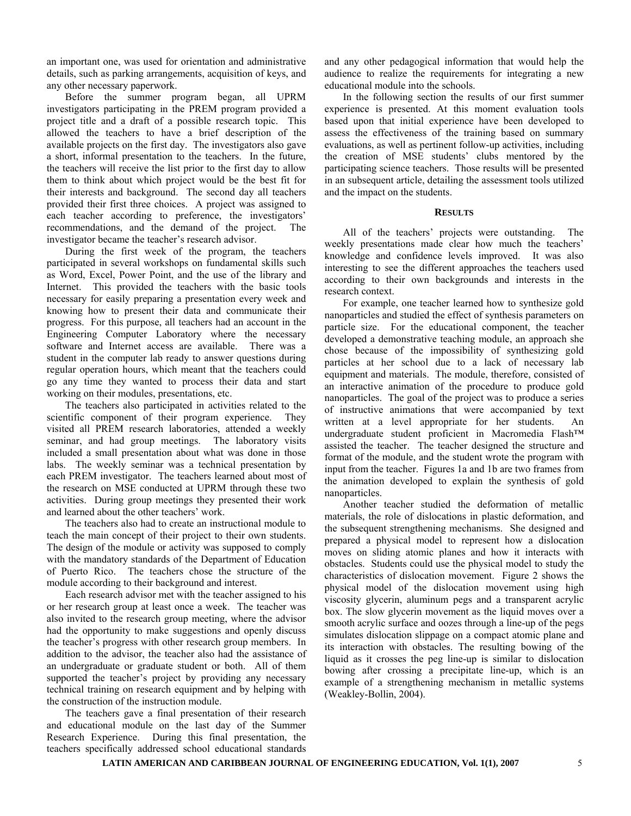an important one, was used for orientation and administrative details, such as parking arrangements, acquisition of keys, and any other necessary paperwork.

Before the summer program began, all UPRM investigators participating in the PREM program provided a project title and a draft of a possible research topic. This allowed the teachers to have a brief description of the available projects on the first day. The investigators also gave a short, informal presentation to the teachers. In the future, the teachers will receive the list prior to the first day to allow them to think about which project would be the best fit for their interests and background. The second day all teachers provided their first three choices. A project was assigned to each teacher according to preference, the investigators' recommendations, and the demand of the project. The investigator became the teacher's research advisor.

During the first week of the program, the teachers participated in several workshops on fundamental skills such as Word, Excel, Power Point, and the use of the library and Internet. This provided the teachers with the basic tools necessary for easily preparing a presentation every week and knowing how to present their data and communicate their progress. For this purpose, all teachers had an account in the Engineering Computer Laboratory where the necessary software and Internet access are available. There was a student in the computer lab ready to answer questions during regular operation hours, which meant that the teachers could go any time they wanted to process their data and start working on their modules, presentations, etc.

The teachers also participated in activities related to the scientific component of their program experience. They visited all PREM research laboratories, attended a weekly seminar, and had group meetings. The laboratory visits included a small presentation about what was done in those labs. The weekly seminar was a technical presentation by each PREM investigator. The teachers learned about most of the research on MSE conducted at UPRM through these two activities. During group meetings they presented their work and learned about the other teachers' work.

The teachers also had to create an instructional module to teach the main concept of their project to their own students. The design of the module or activity was supposed to comply with the mandatory standards of the Department of Education of Puerto Rico. The teachers chose the structure of the module according to their background and interest.

Each research advisor met with the teacher assigned to his or her research group at least once a week. The teacher was also invited to the research group meeting, where the advisor had the opportunity to make suggestions and openly discuss the teacher's progress with other research group members. In addition to the advisor, the teacher also had the assistance of an undergraduate or graduate student or both. All of them supported the teacher's project by providing any necessary technical training on research equipment and by helping with the construction of the instruction module.

The teachers gave a final presentation of their research and educational module on the last day of the Summer Research Experience. During this final presentation, the teachers specifically addressed school educational standards and any other pedagogical information that would help the audience to realize the requirements for integrating a new educational module into the schools.

In the following section the results of our first summer experience is presented. At this moment evaluation tools based upon that initial experience have been developed to assess the effectiveness of the training based on summary evaluations, as well as pertinent follow-up activities, including the creation of MSE students' clubs mentored by the participating science teachers. Those results will be presented in an subsequent article, detailing the assessment tools utilized and the impact on the students.

#### **RESULTS**

All of the teachers' projects were outstanding. The weekly presentations made clear how much the teachers' knowledge and confidence levels improved. It was also interesting to see the different approaches the teachers used according to their own backgrounds and interests in the research context.

For example, one teacher learned how to synthesize gold nanoparticles and studied the effect of synthesis parameters on particle size. For the educational component, the teacher developed a demonstrative teaching module, an approach she chose because of the impossibility of synthesizing gold particles at her school due to a lack of necessary lab equipment and materials. The module, therefore, consisted of an interactive animation of the procedure to produce gold nanoparticles. The goal of the project was to produce a series of instructive animations that were accompanied by text written at a level appropriate for her students. An undergraduate student proficient in Macromedia Flash™ assisted the teacher. The teacher designed the structure and format of the module, and the student wrote the program with input from the teacher. Figures 1a and 1b are two frames from the animation developed to explain the synthesis of gold nanoparticles.

Another teacher studied the deformation of metallic materials, the role of dislocations in plastic deformation, and the subsequent strengthening mechanisms. She designed and prepared a physical model to represent how a dislocation moves on sliding atomic planes and how it interacts with obstacles. Students could use the physical model to study the characteristics of dislocation movement. Figure 2 shows the physical model of the dislocation movement using high viscosity glycerin, aluminum pegs and a transparent acrylic box. The slow glycerin movement as the liquid moves over a smooth acrylic surface and oozes through a line-up of the pegs simulates dislocation slippage on a compact atomic plane and its interaction with obstacles. The resulting bowing of the liquid as it crosses the peg line-up is similar to dislocation bowing after crossing a precipitate line-up, which is an example of a strengthening mechanism in metallic systems (Weakley-Bollin, 2004).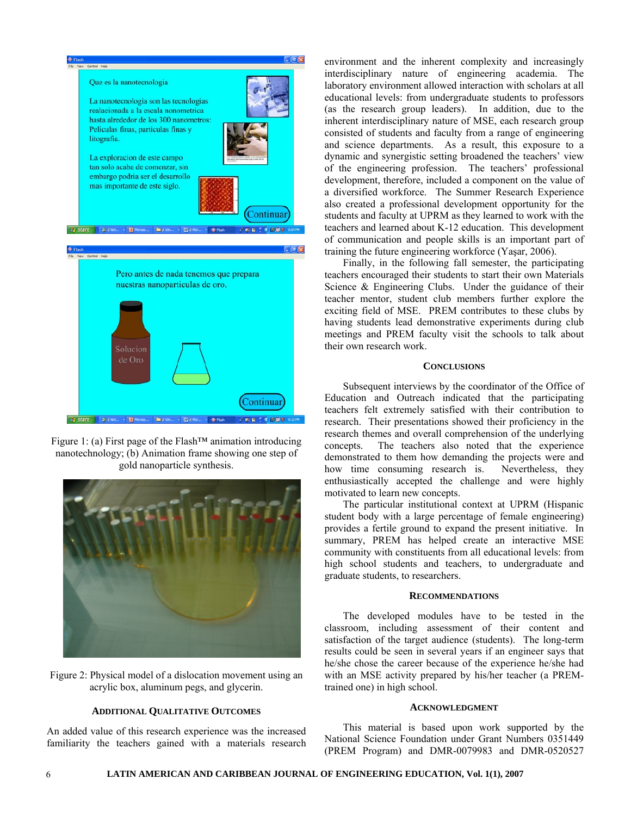

Figure 1: (a) First page of the Flash™ animation introducing nanotechnology; (b) Animation frame showing one step of gold nanoparticle synthesis.



Figure 2: Physical model of a dislocation movement using an acrylic box, aluminum pegs, and glycerin.

#### **ADDITIONAL QUALITATIVE OUTCOMES**

An added value of this research experience was the increased familiarity the teachers gained with a materials research environment and the inherent complexity and increasingly interdisciplinary nature of engineering academia. The laboratory environment allowed interaction with scholars at all educational levels: from undergraduate students to professors (as the research group leaders). In addition, due to the inherent interdisciplinary nature of MSE, each research group consisted of students and faculty from a range of engineering and science departments. As a result, this exposure to a dynamic and synergistic setting broadened the teachers' view of the engineering profession. The teachers' professional development, therefore, included a component on the value of a diversified workforce. The Summer Research Experience also created a professional development opportunity for the students and faculty at UPRM as they learned to work with the teachers and learned about K-12 education. This development of communication and people skills is an important part of training the future engineering workforce (Yaşar, 2006).

Finally, in the following fall semester, the participating teachers encouraged their students to start their own Materials Science & Engineering Clubs. Under the guidance of their teacher mentor, student club members further explore the exciting field of MSE. PREM contributes to these clubs by having students lead demonstrative experiments during club meetings and PREM faculty visit the schools to talk about their own research work.

#### **CONCLUSIONS**

Subsequent interviews by the coordinator of the Office of Education and Outreach indicated that the participating teachers felt extremely satisfied with their contribution to research. Their presentations showed their proficiency in the research themes and overall comprehension of the underlying concepts. The teachers also noted that the experience demonstrated to them how demanding the projects were and how time consuming research is. Nevertheless, they enthusiastically accepted the challenge and were highly motivated to learn new concepts.

The particular institutional context at UPRM (Hispanic student body with a large percentage of female engineering) provides a fertile ground to expand the present initiative. In summary, PREM has helped create an interactive MSE community with constituents from all educational levels: from high school students and teachers, to undergraduate and graduate students, to researchers.

#### **RECOMMENDATIONS**

The developed modules have to be tested in the classroom, including assessment of their content and satisfaction of the target audience (students). The long-term results could be seen in several years if an engineer says that he/she chose the career because of the experience he/she had with an MSE activity prepared by his/her teacher (a PREMtrained one) in high school.

#### **ACKNOWLEDGMENT**

This material is based upon work supported by the National Science Foundation under Grant Numbers 0351449 (PREM Program) and DMR-0079983 and DMR-0520527